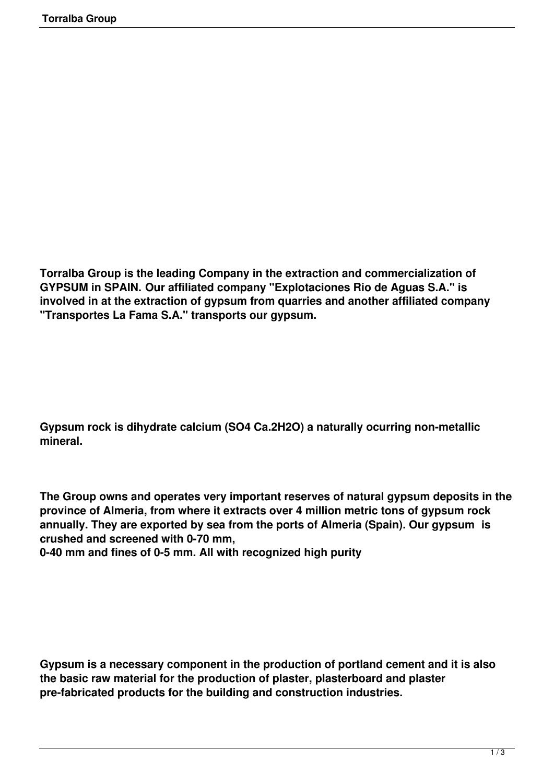**Torralba Group is the leading Company in the extraction and commercialization of GYPSUM in SPAIN. Our affiliated company "Explotaciones Rio de Aguas S.A." is involved in at the extraction of gypsum from quarries and another affiliated company "Transportes La Fama S.A." transports our gypsum.**

**Gypsum rock is dihydrate calcium (SO4 Ca.2H2O) a naturally ocurring non-metallic mineral.**

**The Group owns and operates very important reserves of natural gypsum deposits in the province of Almeria, from where it extracts over 4 million metric tons of gypsum rock annually. They are exported by sea from the ports of Almeria (Spain). Our gypsum is crushed and screened with 0-70 mm,** 

**0-40 mm and fines of 0-5 mm. All with recognized high purity**

**Gypsum is a necessary component in the production of portland cement and it is also the basic raw material for the production of plaster, plasterboard and plaster pre-fabricated products for the building and construction industries.**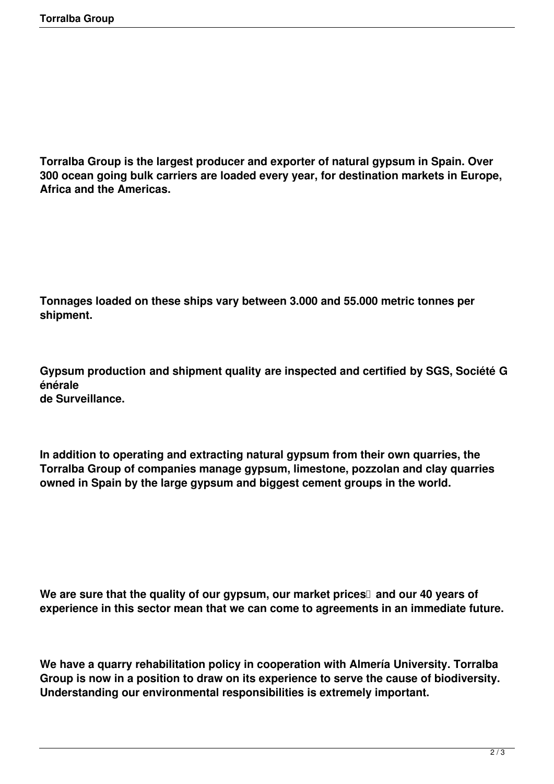**Torralba Group is the largest producer and exporter of natural gypsum in Spain. Over 300 ocean going bulk carriers are loaded every year, for destination markets in Europe, Africa and the Americas.**

**Tonnages loaded on these ships vary between 3.000 and 55.000 metric tonnes per shipment.**

**Gypsum production and shipment quality are inspected and certified by SGS, Société G énérale de Surveillance.**

**In addition to operating and extracting natural gypsum from their own quarries, the Torralba Group of companies manage gypsum, limestone, pozzolan and clay quarries owned in Spain by the large gypsum and biggest cement groups in the world.**

We are sure that the quality of our gypsum, our market prices<sup>I</sup> and our 40 years of **experience in this sector mean that we can come to agreements in an immediate future.**

**We have a quarry rehabilitation policy in cooperation with Almería University. Torralba Group is now in a position to draw on its experience to serve the cause of biodiversity. Understanding our environmental responsibilities is extremely important.**